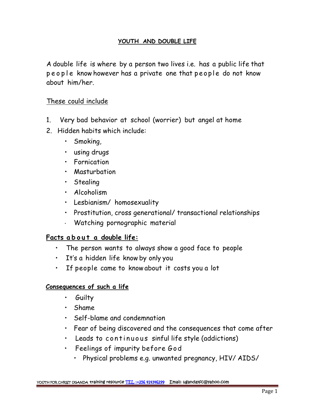### **YOUTH AND DOUBLE LIFE**

A double life is where by a person two lives i.e. has a public life that people know however has a private one that people do not know about him/her.

## These could include

- 1. Very bad behavior at school (worrier) but angel at home
- 2. Hidden habits which include:
	- Smoking,
	- using drugs
	- Fornication
	- Masturbation
	- Stealing
	- Alcoholism
	- Lesbianism/ homosexuality
- Prostitution, cross generational/ transactional relationships • Lesbianism/ homosexuality<br>• Prostitution, cross generational/ transactional relationships<br>• Watching pornographic material<br>• The person wants to always show a good face to people
	- Watching pornographic material

- 
- It's a hidden life know by only you
- If people came to knowabout it costs you a lot

# **Consequences of such a life**

- Guilty
- Shame
- Self-blame and condemnation
- Fear of being discovered and the consequences that come after • Shame<br>• Self-blame and condemnation<br>• Fear of being discovered and the consequences that come<br>• Leads to continuous sinful life style (addictions)<br>• Feelings of impurity before God
- 
- - Physical problems e.g. unwanted pregnancy, HIV/ AIDS/